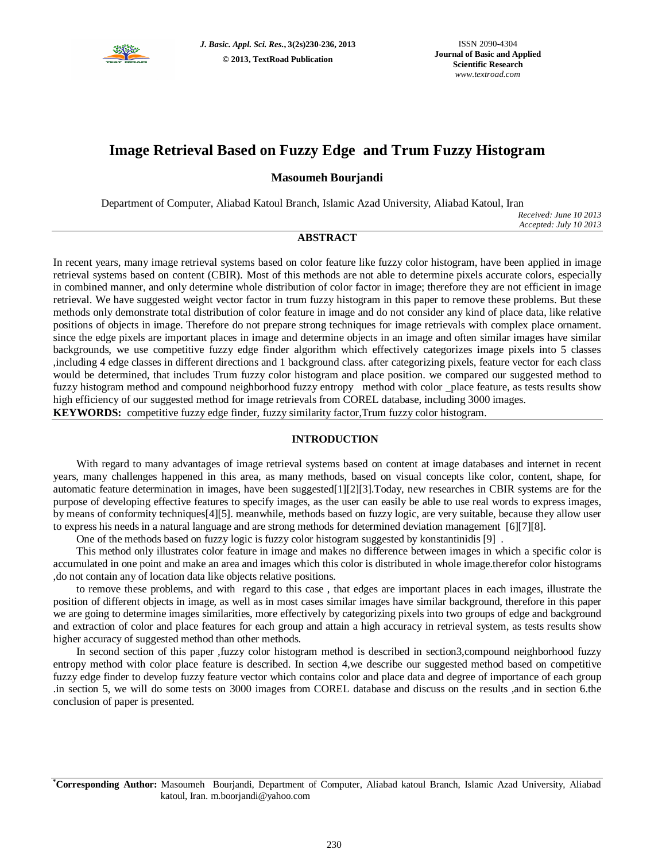

# **Image Retrieval Based on Fuzzy Edge and Trum Fuzzy Histogram**

# **Masoumeh Bourjandi**

Department of Computer, Aliabad Katoul Branch, Islamic Azad University, Aliabad Katoul, Iran

*Received: June 10 2013 Accepted: July 10 2013*

## **ABSTRACT**

In recent years, many image retrieval systems based on color feature like fuzzy color histogram, have been applied in image retrieval systems based on content (CBIR). Most of this methods are not able to determine pixels accurate colors, especially in combined manner, and only determine whole distribution of color factor in image; therefore they are not efficient in image retrieval. We have suggested weight vector factor in trum fuzzy histogram in this paper to remove these problems. But these methods only demonstrate total distribution of color feature in image and do not consider any kind of place data, like relative positions of objects in image. Therefore do not prepare strong techniques for image retrievals with complex place ornament. since the edge pixels are important places in image and determine objects in an image and often similar images have similar backgrounds, we use competitive fuzzy edge finder algorithm which effectively categorizes image pixels into 5 classes ,including 4 edge classes in different directions and 1 background class. after categorizing pixels, feature vector for each class would be determined, that includes Trum fuzzy color histogram and place position. we compared our suggested method to fuzzy histogram method and compound neighborhood fuzzy entropy method with color \_place feature, as tests results show high efficiency of our suggested method for image retrievals from COREL database, including 3000 images. **KEYWORDS:** competitive fuzzy edge finder, fuzzy similarity factor,Trum fuzzy color histogram.

# **INTRODUCTION**

With regard to many advantages of image retrieval systems based on content at image databases and internet in recent years, many challenges happened in this area, as many methods, based on visual concepts like color, content, shape, for automatic feature determination in images, have been suggested[1][2][3].Today, new researches in CBIR systems are for the purpose of developing effective features to specify images, as the user can easily be able to use real words to express images, by means of conformity techniques[4][5]. meanwhile, methods based on fuzzy logic, are very suitable, because they allow user to express his needs in a natural language and are strong methods for determined deviation management [6][7][8].

One of the methods based on fuzzy logic is fuzzy color histogram suggested by konstantinidis [9] .

This method only illustrates color feature in image and makes no difference between images in which a specific color is accumulated in one point and make an area and images which this color is distributed in whole image.therefor color histograms ,do not contain any of location data like objects relative positions.

to remove these problems, and with regard to this case , that edges are important places in each images, illustrate the position of different objects in image, as well as in most cases similar images have similar background, therefore in this paper we are going to determine images similarities, more effectively by categorizing pixels into two groups of edge and background and extraction of color and place features for each group and attain a high accuracy in retrieval system, as tests results show higher accuracy of suggested method than other methods.

In second section of this paper ,fuzzy color histogram method is described in section3,compound neighborhood fuzzy entropy method with color place feature is described. In section 4,we describe our suggested method based on competitive fuzzy edge finder to develop fuzzy feature vector which contains color and place data and degree of importance of each group .in section 5, we will do some tests on 3000 images from COREL database and discuss on the results ,and in section 6.the conclusion of paper is presented.

**\*Corresponding Author:** Masoumeh Bourjandi, Department of Computer, Aliabad katoul Branch, Islamic Azad University, Aliabad katoul, Iran. m.boorjandi@yahoo.com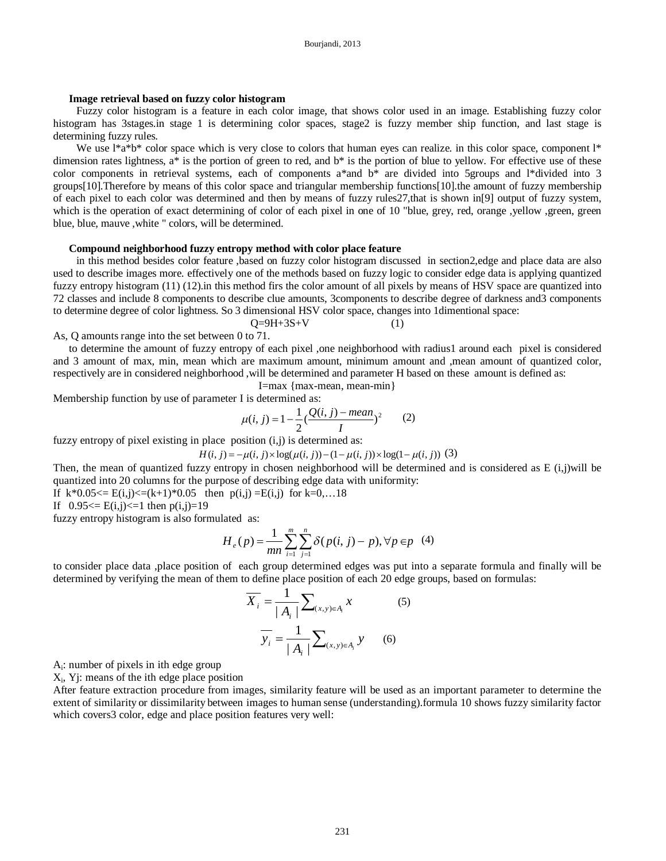### **Image retrieval based on fuzzy color histogram**

Fuzzy color histogram is a feature in each color image, that shows color used in an image. Establishing fuzzy color histogram has 3stages.in stage 1 is determining color spaces, stage2 is fuzzy member ship function, and last stage is determining fuzzy rules.

We use  $1^*a^*b^*$  color space which is very close to colors that human eyes can realize. in this color space, component  $1^*$ dimension rates lightness, a\* is the portion of green to red, and b\* is the portion of blue to yellow. For effective use of these color components in retrieval systems, each of components a\*and b\* are divided into 5groups and l\*divided into 3 groups[10].Therefore by means of this color space and triangular membership functions[10].the amount of fuzzy membership of each pixel to each color was determined and then by means of fuzzy rules27,that is shown in[9] output of fuzzy system, which is the operation of exact determining of color of each pixel in one of 10 "blue, grey, red, orange ,yellow ,green, green blue, blue, mauve ,white " colors, will be determined.

#### **Compound neighborhood fuzzy entropy method with color place feature**

in this method besides color feature ,based on fuzzy color histogram discussed in section2,edge and place data are also used to describe images more. effectively one of the methods based on fuzzy logic to consider edge data is applying quantized fuzzy entropy histogram (11) (12).in this method firs the color amount of all pixels by means of HSV space are quantized into 72 classes and include 8 components to describe clue amounts, 3components to describe degree of darkness and3 components to determine degree of color lightness. So 3 dimensional HSV color space, changes into 1dimentional space:

 $Q = 9H + 3S + V$  (1) As, Q amounts range into the set between 0 to 71.

to determine the amount of fuzzy entropy of each pixel ,one neighborhood with radius1 around each pixel is considered and 3 amount of max, min, mean which are maximum amount, minimum amount and ,mean amount of quantized color, respectively are in considered neighborhood ,will be determined and parameter H based on these amount is defined as:

I=max {max-mean, mean-min}

Membership function by use of parameter I is determined as:

$$
\mu(i, j) = 1 - \frac{1}{2} \left( \frac{Q(i, j) - mean}{I} \right)^2 \tag{2}
$$

fuzzy entropy of pixel existing in place position  $(i, j)$  is determined as:

$$
H(i, j) = -\mu(i, j) \times \log(\mu(i, j)) - (1 - \mu(i, j)) \times \log(1 - \mu(i, j))
$$
 (3)

Then, the mean of quantized fuzzy entropy in chosen neighborhood will be determined and is considered as E (i,j)will be quantized into 20 columns for the purpose of describing edge data with uniformity:

If  $k*0.05 \le E(i,j) \le (k+1)*0.05$  then  $p(i,j) = E(i,j)$  for  $k=0,...18$ 

If  $0.95 \le E(i,j) \le 1$  then  $p(i,j) = 19$ 

fuzzy entropy histogram is also formulated as:

$$
H_e(p) = \frac{1}{mn} \sum_{i=1}^{m} \sum_{j=1}^{n} \delta(p(i, j) - p), \forall p \in p \quad (4)
$$

to consider place data ,place position of each group determined edges was put into a separate formula and finally will be determined by verifying the mean of them to define place position of each 20 edge groups, based on formulas:

$$
\overline{X}_{i} = \frac{1}{|A_{i}|} \sum_{(x,y)\in A_{i}} x
$$
\n
$$
\overline{y}_{i} = \frac{1}{|A_{i}|} \sum_{(x,y)\in A_{i}} y
$$
\n(5)

Ai : number of pixels in ith edge group

Xi , Yj: means of the ith edge place position

After feature extraction procedure from images, similarity feature will be used as an important parameter to determine the extent of similarity or dissimilarity between images to human sense (understanding).formula 10 shows fuzzy similarity factor which covers3 color, edge and place position features very well: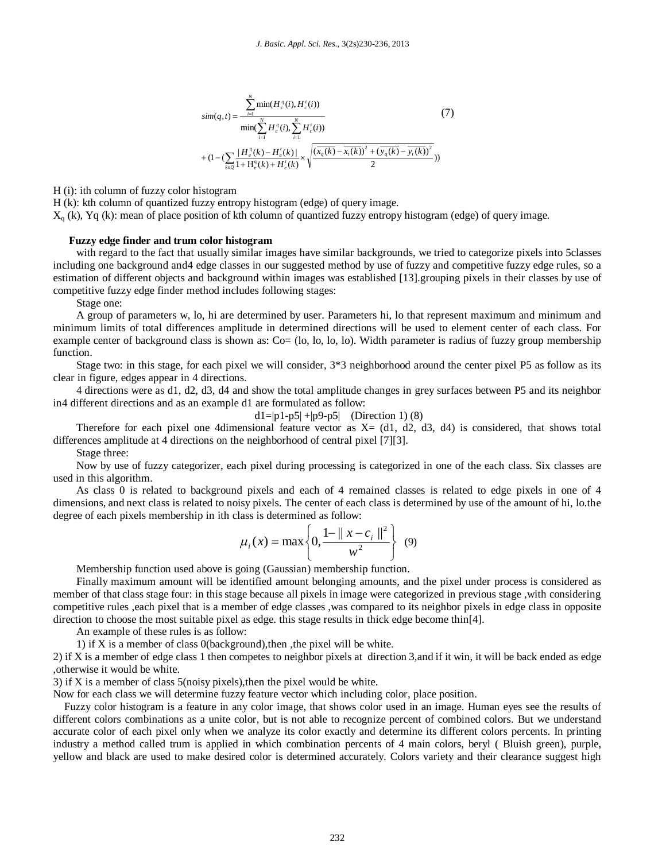$$
\begin{aligned}\n&\sin(q,t) = \frac{\sum_{i=1}^{N} \min(H_c^q(i), H_c^t(i))}{\min(\sum_{i=1}^{N} H_c^q(i), \sum_{i=1}^{N} H_c^t(i))} \\
&+ (1 - (\sum_{k \in \mathcal{Q}} \frac{|H_c^q(k) - H_c^t(k)|}{1 + H_c^q(k) + H_c^t(k)} \times \sqrt{\frac{(\overline{x_q(k)} - \overline{x_i(k)})^2 + (\overline{y_q(k)} - \overline{y_i(k)})^2}{2}}))\n\end{aligned}\n\tag{7}
$$

H (i): ith column of fuzzy color histogram

H (k): kth column of quantized fuzzy entropy histogram (edge) of query image.

 $X<sub>q</sub>$  (k), Yq (k): mean of place position of kth column of quantized fuzzy entropy histogram (edge) of query image.

### **Fuzzy edge finder and trum color histogram**

with regard to the fact that usually similar images have similar backgrounds, we tried to categorize pixels into 5classes including one background and4 edge classes in our suggested method by use of fuzzy and competitive fuzzy edge rules, so a estimation of different objects and background within images was established [13].grouping pixels in their classes by use of competitive fuzzy edge finder method includes following stages:

Stage one:

A group of parameters w, lo, hi are determined by user. Parameters hi, lo that represent maximum and minimum and minimum limits of total differences amplitude in determined directions will be used to element center of each class. For example center of background class is shown as: Co= (lo, lo, lo, lo). Width parameter is radius of fuzzy group membership function.

Stage two: in this stage, for each pixel we will consider, 3\*3 neighborhood around the center pixel P5 as follow as its clear in figure, edges appear in 4 directions.

4 directions were as d1, d2, d3, d4 and show the total amplitude changes in grey surfaces between P5 and its neighbor in4 different directions and as an example d1 are formulated as follow:

$$
d1 = |p1-p5| + |p9-p5|
$$
 (Direction 1) (8)

Therefore for each pixel one 4dimensional feature vector as  $X = (d1, d2, d3, d4)$  is considered, that shows total differences amplitude at 4 directions on the neighborhood of central pixel [7][3].

Stage three:

Now by use of fuzzy categorizer, each pixel during processing is categorized in one of the each class. Six classes are used in this algorithm.

As class 0 is related to background pixels and each of 4 remained classes is related to edge pixels in one of 4 dimensions, and next class is related to noisy pixels. The center of each class is determined by use of the amount of hi, lo.the degree of each pixels membership in ith class is determined as follow:

$$
\mu_i(x) = \max \left\{ 0, \frac{1 - ||x - c_i||^2}{w^2} \right\} (9)
$$

Membership function used above is going (Gaussian) membership function.

Finally maximum amount will be identified amount belonging amounts, and the pixel under process is considered as member of that class stage four: in this stage because all pixels in image were categorized in previous stage ,with considering competitive rules ,each pixel that is a member of edge classes ,was compared to its neighbor pixels in edge class in opposite direction to choose the most suitable pixel as edge. this stage results in thick edge become thin[4].

An example of these rules is as follow:

1) if X is a member of class 0(background),then ,the pixel will be white.

2) if X is a member of edge class 1 then competes to neighbor pixels at direction 3,and if it win, it will be back ended as edge ,otherwise it would be white.

3) if  $X$  is a member of class 5(noisy pixels), then the pixel would be white.

Now for each class we will determine fuzzy feature vector which including color, place position.

Fuzzy color histogram is a feature in any color image, that shows color used in an image. Human eyes see the results of different colors combinations as a unite color, but is not able to recognize percent of combined colors. But we understand accurate color of each pixel only when we analyze its color exactly and determine its different colors percents. In printing industry a method called trum is applied in which combination percents of 4 main colors, beryl ( Bluish green), purple, yellow and black are used to make desired color is determined accurately. Colors variety and their clearance suggest high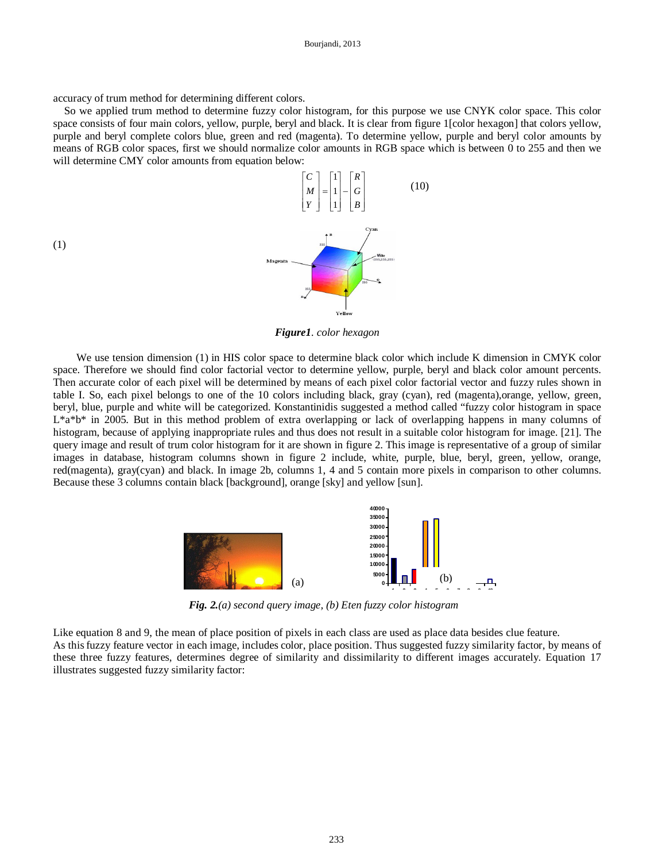accuracy of trum method for determining different colors.

So we applied trum method to determine fuzzy color histogram, for this purpose we use CNYK color space. This color space consists of four main colors, yellow, purple, beryl and black. It is clear from figure 1[color hexagon] that colors yellow, purple and beryl complete colors blue, green and red (magenta). To determine yellow, purple and beryl color amounts by means of RGB color spaces, first we should normalize color amounts in RGB space which is between 0 to 255 and then we will determine CMY color amounts from equation below:



*Figure1. color hexagon*

We use tension dimension (1) in HIS color space to determine black color which include K dimension in CMYK color space. Therefore we should find color factorial vector to determine yellow, purple, beryl and black color amount percents. Then accurate color of each pixel will be determined by means of each pixel color factorial vector and fuzzy rules shown in table I. So, each pixel belongs to one of the 10 colors including black, gray (cyan), red (magenta),orange, yellow, green, beryl, blue, purple and white will be categorized. Konstantinidis suggested a method called "fuzzy color histogram in space L\*a\*b\* in 2005. But in this method problem of extra overlapping or lack of overlapping happens in many columns of histogram, because of applying inappropriate rules and thus does not result in a suitable color histogram for image. [21]. The query image and result of trum color histogram for it are shown in figure 2. This image is representative of a group of similar images in database, histogram columns shown in figure 2 include, white, purple, blue, beryl, green, yellow, orange, red(magenta), gray(cyan) and black. In image 2b, columns 1, 4 and 5 contain more pixels in comparison to other columns. Because these 3 columns contain black [background], orange [sky] and yellow [sun].



*Fig. 2.(a) second query image, (b) Eten fuzzy color histogram*

Like equation 8 and 9, the mean of place position of pixels in each class are used as place data besides clue feature. As this fuzzy feature vector in each image, includes color, place position. Thus suggested fuzzy similarity factor, by means of these three fuzzy features, determines degree of similarity and dissimilarity to different images accurately. Equation 17 illustrates suggested fuzzy similarity factor:

(1)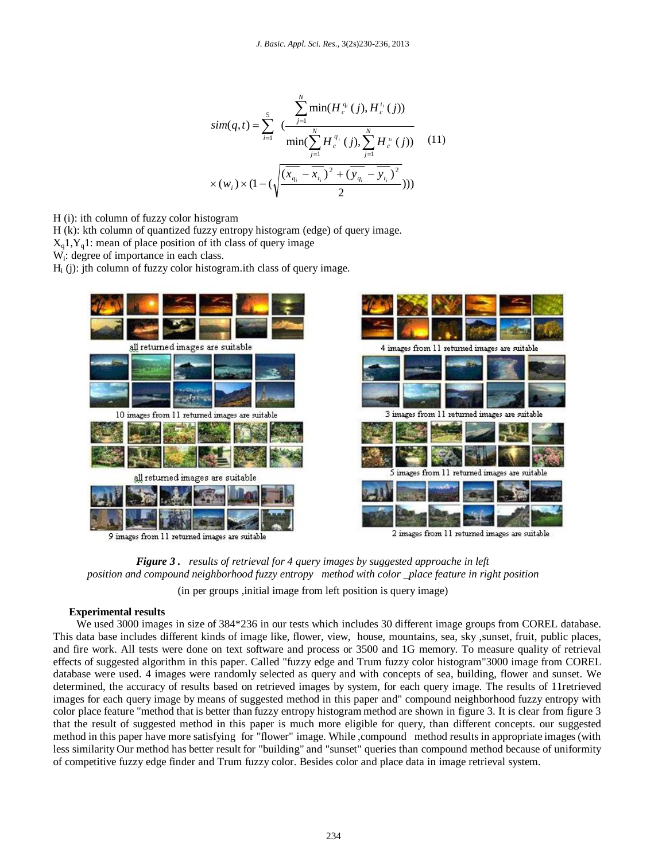$$
sim(q,t) = \sum_{i=1}^{5} \frac{\sum_{j=1}^{N} \min(H_c^{q_i}(j), H_c^{t_i}(j))}{\min(\sum_{j=1}^{N} H_c^{q_i}(j), \sum_{j=1}^{N} H_c^{t_i}(j))}
$$
(11)  

$$
\times (w_i) \times (1 - (\sqrt{\frac{(x_{q_i} - \overline{x_{t_i}})^2 + (\overline{y_{q_i} - \overline{y_{t_i}}})^2}{2}})))
$$

H (i): ith column of fuzzy color histogram

H (k): kth column of quantized fuzzy entropy histogram (edge) of query image.

 $X_a$ 1,  $Y_a$ 1: mean of place position of ith class of query image

W<sup>i</sup> : degree of importance in each class.

 $H_i$  (j): jth column of fuzzy color histogram.ith class of query image.



9 images from 11 returned images are suitable

2 images from 11 returned images are suitable



(in per groups ,initial image from left position is query image)

# **Experimental results**

We used 3000 images in size of 384\*236 in our tests which includes 30 different image groups from COREL database. This data base includes different kinds of image like, flower, view, house, mountains, sea, sky ,sunset, fruit, public places, and fire work. All tests were done on text software and process or 3500 and 1G memory. To measure quality of retrieval effects of suggested algorithm in this paper. Called "fuzzy edge and Trum fuzzy color histogram"3000 image from COREL database were used. 4 images were randomly selected as query and with concepts of sea, building, flower and sunset. We determined, the accuracy of results based on retrieved images by system, for each query image. The results of 11retrieved images for each query image by means of suggested method in this paper and" compound neighborhood fuzzy entropy with color place feature "method that is better than fuzzy entropy histogram method are shown in figure 3. It is clear from figure 3 that the result of suggested method in this paper is much more eligible for query, than different concepts. our suggested method in this paper have more satisfying for "flower" image. While ,compound method results in appropriate images (with less similarity Our method has better result for "building" and "sunset" queries than compound method because of uniformity of competitive fuzzy edge finder and Trum fuzzy color. Besides color and place data in image retrieval system.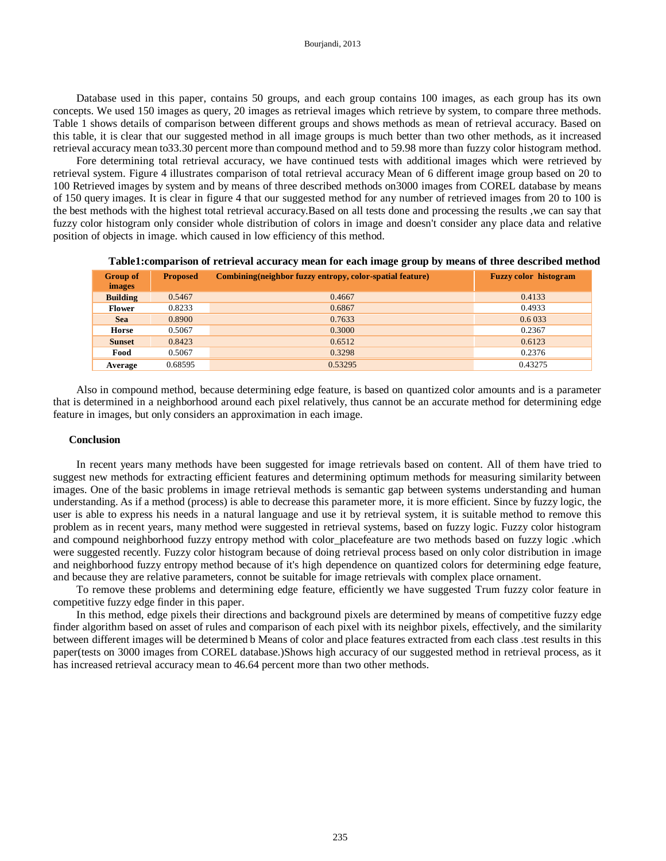Database used in this paper, contains 50 groups, and each group contains 100 images, as each group has its own concepts. We used 150 images as query, 20 images as retrieval images which retrieve by system, to compare three methods. Table 1 shows details of comparison between different groups and shows methods as mean of retrieval accuracy. Based on this table, it is clear that our suggested method in all image groups is much better than two other methods, as it increased retrieval accuracy mean to33.30 percent more than compound method and to 59.98 more than fuzzy color histogram method.

Fore determining total retrieval accuracy, we have continued tests with additional images which were retrieved by retrieval system. Figure 4 illustrates comparison of total retrieval accuracy Mean of 6 different image group based on 20 to 100 Retrieved images by system and by means of three described methods on3000 images from COREL database by means of 150 query images. It is clear in figure 4 that our suggested method for any number of retrieved images from 20 to 100 is the best methods with the highest total retrieval accuracy.Based on all tests done and processing the results ,we can say that fuzzy color histogram only consider whole distribution of colors in image and doesn't consider any place data and relative position of objects in image. which caused in low efficiency of this method.

| <b>Group of</b><br><i>images</i> | <b>Proposed</b> | Combining (neighbor fuzzy entropy, color-spatial feature) | <b>Fuzzy color histogram</b> |
|----------------------------------|-----------------|-----------------------------------------------------------|------------------------------|
| <b>Building</b>                  | 0.5467          | 0.4667                                                    | 0.4133                       |
| <b>Flower</b>                    | 0.8233          | 0.6867                                                    | 0.4933                       |
| <b>Sea</b>                       | 0.8900          | 0.7633                                                    | 0.6 033                      |
| Horse                            | 0.5067          | 0.3000                                                    | 0.2367                       |
| <b>Sunset</b>                    | 0.8423          | 0.6512                                                    | 0.6123                       |
| Food                             | 0.5067          | 0.3298                                                    | 0.2376                       |
| Average                          | 0.68595         | 0.53295                                                   | 0.43275                      |

**Table1:comparison of retrieval accuracy mean for each image group by means of three described method**

Also in compound method, because determining edge feature, is based on quantized color amounts and is a parameter that is determined in a neighborhood around each pixel relatively, thus cannot be an accurate method for determining edge feature in images, but only considers an approximation in each image.

### **Conclusion**

In recent years many methods have been suggested for image retrievals based on content. All of them have tried to suggest new methods for extracting efficient features and determining optimum methods for measuring similarity between images. One of the basic problems in image retrieval methods is semantic gap between systems understanding and human understanding. As if a method (process) is able to decrease this parameter more, it is more efficient. Since by fuzzy logic, the user is able to express his needs in a natural language and use it by retrieval system, it is suitable method to remove this problem as in recent years, many method were suggested in retrieval systems, based on fuzzy logic. Fuzzy color histogram and compound neighborhood fuzzy entropy method with color\_placefeature are two methods based on fuzzy logic .which were suggested recently. Fuzzy color histogram because of doing retrieval process based on only color distribution in image and neighborhood fuzzy entropy method because of it's high dependence on quantized colors for determining edge feature, and because they are relative parameters, connot be suitable for image retrievals with complex place ornament.

To remove these problems and determining edge feature, efficiently we have suggested Trum fuzzy color feature in competitive fuzzy edge finder in this paper.

In this method, edge pixels their directions and background pixels are determined by means of competitive fuzzy edge finder algorithm based on asset of rules and comparison of each pixel with its neighbor pixels, effectively, and the similarity between different images will be determined b Means of color and place features extracted from each class .test results in this paper(tests on 3000 images from COREL database.)Shows high accuracy of our suggested method in retrieval process, as it has increased retrieval accuracy mean to 46.64 percent more than two other methods.